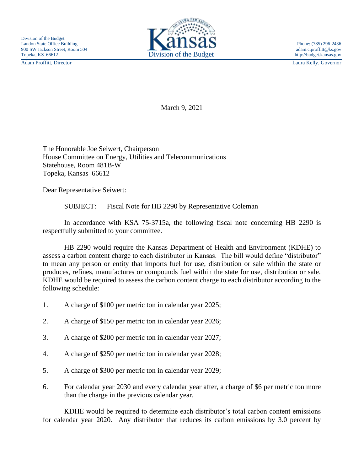Adam Proffitt, Director Laura Kelly, Governor



March 9, 2021

The Honorable Joe Seiwert, Chairperson House Committee on Energy, Utilities and Telecommunications Statehouse, Room 481B-W Topeka, Kansas 66612

Dear Representative Seiwert:

SUBJECT: Fiscal Note for HB 2290 by Representative Coleman

In accordance with KSA 75-3715a, the following fiscal note concerning HB 2290 is respectfully submitted to your committee.

HB 2290 would require the Kansas Department of Health and Environment (KDHE) to assess a carbon content charge to each distributor in Kansas. The bill would define "distributor" to mean any person or entity that imports fuel for use, distribution or sale within the state or produces, refines, manufactures or compounds fuel within the state for use, distribution or sale. KDHE would be required to assess the carbon content charge to each distributor according to the following schedule:

- 1. A charge of \$100 per metric ton in calendar year 2025;
- 2. A charge of \$150 per metric ton in calendar year 2026;
- 3. A charge of \$200 per metric ton in calendar year 2027;
- 4. A charge of \$250 per metric ton in calendar year 2028;
- 5. A charge of \$300 per metric ton in calendar year 2029;
- 6. For calendar year 2030 and every calendar year after, a charge of \$6 per metric ton more than the charge in the previous calendar year.

KDHE would be required to determine each distributor's total carbon content emissions for calendar year 2020. Any distributor that reduces its carbon emissions by 3.0 percent by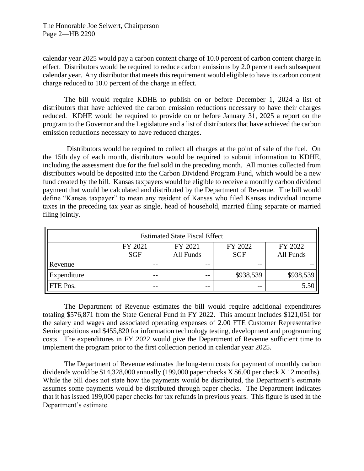The Honorable Joe Seiwert, Chairperson Page 2—HB 2290

calendar year 2025 would pay a carbon content charge of 10.0 percent of carbon content charge in effect. Distributors would be required to reduce carbon emissions by 2.0 percent each subsequent calendar year. Any distributor that meets this requirement would eligible to have its carbon content charge reduced to 10.0 percent of the charge in effect.

The bill would require KDHE to publish on or before December 1, 2024 a list of distributors that have achieved the carbon emission reductions necessary to have their charges reduced. KDHE would be required to provide on or before January 31, 2025 a report on the program to the Governor and the Legislature and a list of distributors that have achieved the carbon emission reductions necessary to have reduced charges.

Distributors would be required to collect all charges at the point of sale of the fuel. On the 15th day of each month, distributors would be required to submit information to KDHE, including the assessment due for the fuel sold in the preceding month. All monies collected from distributors would be deposited into the Carbon Dividend Program Fund, which would be a new fund created by the bill. Kansas taxpayers would be eligible to receive a monthly carbon dividend payment that would be calculated and distributed by the Department of Revenue. The bill would define "Kansas taxpayer" to mean any resident of Kansas who filed Kansas individual income taxes in the preceding tax year as single, head of household, married filing separate or married filing jointly.

| <b>Estimated State Fiscal Effect</b> |            |           |            |           |
|--------------------------------------|------------|-----------|------------|-----------|
|                                      | FY 2021    | FY 2021   | FY 2022    | FY 2022   |
|                                      | <b>SGF</b> | All Funds | <b>SGF</b> | All Funds |
| Revenue                              | $- -$      | $- -$     | $- -$      |           |
| Expenditure                          | $- -$      | $- -$     | \$938,539  | \$938,539 |
| FTE Pos.                             | $- -$      | $- -$     | $- -$      |           |

The Department of Revenue estimates the bill would require additional expenditures totaling \$576,871 from the State General Fund in FY 2022. This amount includes \$121,051 for the salary and wages and associated operating expenses of 2.00 FTE Customer Representative Senior positions and \$455,820 for information technology testing, development and programming costs. The expenditures in FY 2022 would give the Department of Revenue sufficient time to implement the program prior to the first collection period in calendar year 2025.

The Department of Revenue estimates the long-term costs for payment of monthly carbon dividends would be \$14,328,000 annually (199,000 paper checks X \$6.00 per check X 12 months). While the bill does not state how the payments would be distributed, the Department's estimate assumes some payments would be distributed through paper checks. The Department indicates that it has issued 199,000 paper checks for tax refunds in previous years. This figure is used in the Department's estimate.